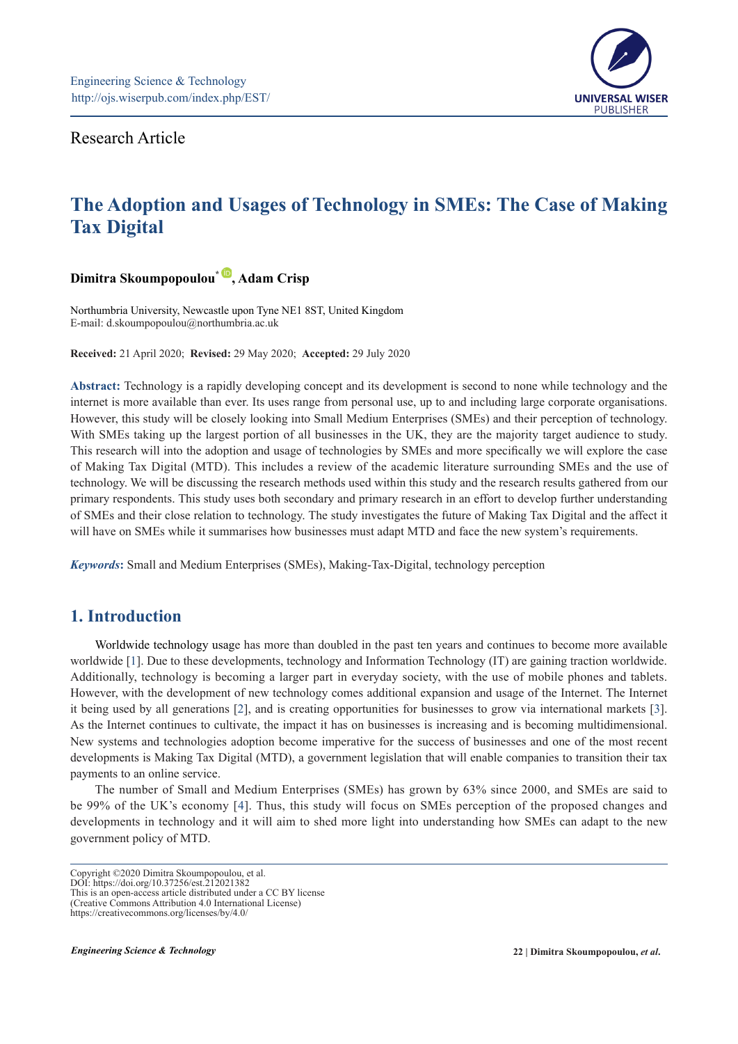

Research Article

# **The Adoption and Usages of Technology in SMEs: The Case of Making Tax Digital**

# **Dimitra Skoumpopoulou\* [,](https://orcid.org/0000-0002-7601-3022) Adam Crisp**

Northumbria University, Newcastle upon Tyne NE1 8ST, United Kingdom E-mail: [d.skoumpopoulou@northumbria.ac.uk](mailto:d.skoumpopoulou@northumbria.ac.uk)

**Received:** 21 April 2020; **Revised:** 29 May 2020; **Accepted:** 29 July 2020

**Abstract:** Technology is a rapidly developing concept and its development is second to none while technology and the internet is more available than ever. Its uses range from personal use, up to and including large corporate organisations. However, this study will be closely looking into Small Medium Enterprises (SMEs) and their perception of technology. With SMEs taking up the largest portion of all businesses in the UK, they are the majority target audience to study. This research will into the adoption and usage of technologies by SMEs and more specifically we will explore the case of Making Tax Digital (MTD). This includes a review of the academic literature surrounding SMEs and the use of technology. We will be discussing the research methods used within this study and the research results gathered from our primary respondents. This study uses both secondary and primary research in an effort to develop further understanding of SMEs and their close relation to technology. The study investigates the future of Making Tax Digital and the affect it will have on SMEs while it summarises how businesses must adapt MTD and face the new system's requirements.

*Keywords***:** Small and Medium Enterprises (SMEs), Making-Tax-Digital, technology perception

# **1. Introduction**

Worldwide technology usage has more than doubled in the past ten years and continues to become more available worldwide [1]. Due to these developments, technology and Information Technology (IT) are gaining traction worldwide. Additionally, technology is becoming a larger part in everyday society, with the use of mobile phones and tablets. However, with the development of new technology comes additional expansion and usage of the Internet. The Internet it being used by all generations [2], and is creating opportunities for businesses to grow via international markets [3]. As the Internet continues to cultivate, the impact it has on businesses is increasing and is becoming multidimensional. New systems and technologies adoption become imperative for the success of businesses and one of the most recent developments is Making Tax Digital (MTD), a government legislation that will enable companies to transition their tax payments to an online service.

The number of Small and Medium Enterprises (SMEs) has grown by 63% since 2000, and SMEs are said to be 99% of the UK's economy [4]. Thus, this study will focus on SMEs perception of the proposed changes and developments in technology and it will aim to shed more light into understanding how SMEs can adapt to the new government policy of MTD.

DOI: https://doi.org/10.37256/est.212021382 This is an open-access article distributed under a CC BY license

Copyright ©2020 Dimitra Skoumpopoulou, et al.

<sup>(</sup>Creative Commons Attribution 4.0 International License) https://creativecommons.org/licenses/by/4.0/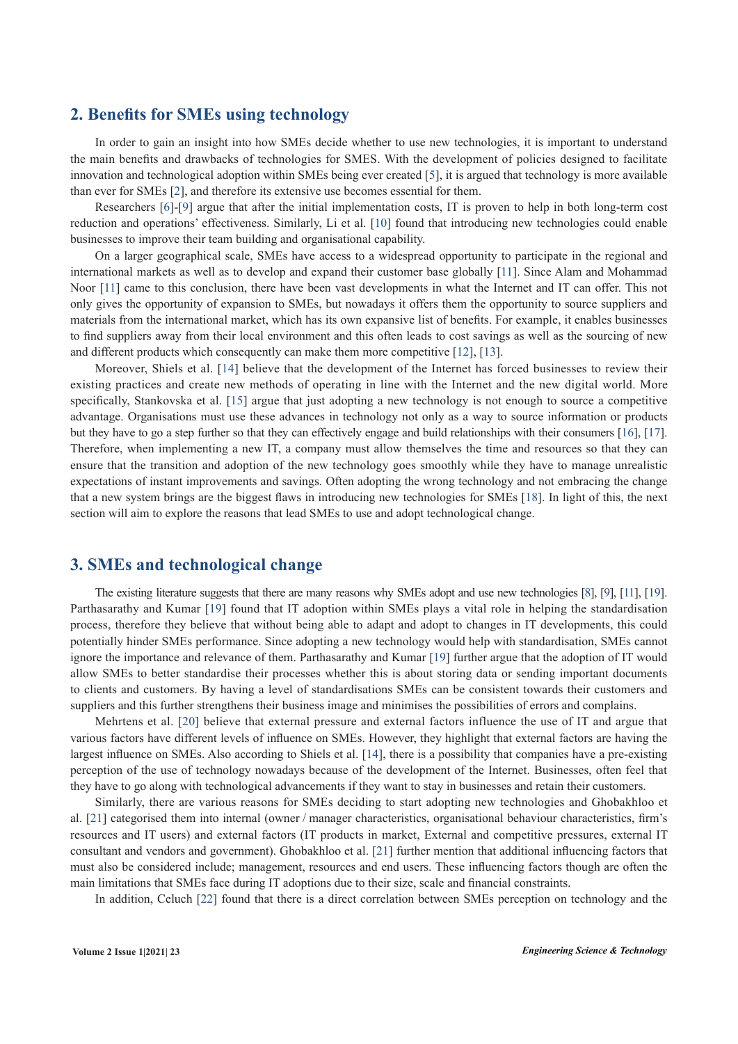### **2. Benefits for SMEs using technology**

In order to gain an insight into how SMEs decide whether to use new technologies, it is important to understand the main benefits and drawbacks of technologies for SMES. With the development of policies designed to facilitate innovation and technological adoption within SMEs being ever created [5], it is argued that technology is more available than ever for SMEs [2], and therefore its extensive use becomes essential for them.

Researchers [6]-[9] argue that after the initial implementation costs, IT is proven to help in both long-term cost reduction and operations' effectiveness. Similarly, Li et al. [10] found that introducing new technologies could enable businesses to improve their team building and organisational capability.

On a larger geographical scale, SMEs have access to a widespread opportunity to participate in the regional and international markets as well as to develop and expand their customer base globally [11]. Since Alam and Mohammad Noor [11] came to this conclusion, there have been vast developments in what the Internet and IT can offer. This not only gives the opportunity of expansion to SMEs, but nowadays it offers them the opportunity to source suppliers and materials from the international market, which has its own expansive list of benefits. For example, it enables businesses to find suppliers away from their local environment and this often leads to cost savings as well as the sourcing of new and different products which consequently can make them more competitive [12], [13].

Moreover, Shiels et al. [14] believe that the development of the Internet has forced businesses to review their existing practices and create new methods of operating in line with the Internet and the new digital world. More specifically, Stankovska et al. [15] argue that just adopting a new technology is not enough to source a competitive advantage. Organisations must use these advances in technology not only as a way to source information or products but they have to go a step further so that they can effectively engage and build relationships with their consumers [16], [17]. Therefore, when implementing a new IT, a company must allow themselves the time and resources so that they can ensure that the transition and adoption of the new technology goes smoothly while they have to manage unrealistic expectations of instant improvements and savings. Often adopting the wrong technology and not embracing the change that a new system brings are the biggest flaws in introducing new technologies for SMEs [18]. In light of this, the next section will aim to explore the reasons that lead SMEs to use and adopt technological change.

# **3. SMEs and technological change**

The existing literature suggests that there are many reasons why SMEs adopt and use new technologies [8], [9], [11], [19]. Parthasarathy and Kumar [19] found that IT adoption within SMEs plays a vital role in helping the standardisation process, therefore they believe that without being able to adapt and adopt to changes in IT developments, this could potentially hinder SMEs performance. Since adopting a new technology would help with standardisation, SMEs cannot ignore the importance and relevance of them. Parthasarathy and Kumar [19] further argue that the adoption of IT would allow SMEs to better standardise their processes whether this is about storing data or sending important documents to clients and customers. By having a level of standardisations SMEs can be consistent towards their customers and suppliers and this further strengthens their business image and minimises the possibilities of errors and complains.

Mehrtens et al. [20] believe that external pressure and external factors influence the use of IT and argue that various factors have different levels of influence on SMEs. However, they highlight that external factors are having the largest influence on SMEs. Also according to Shiels et al. [14], there is a possibility that companies have a pre-existing perception of the use of technology nowadays because of the development of the Internet. Businesses, often feel that they have to go along with technological advancements if they want to stay in businesses and retain their customers.

Similarly, there are various reasons for SMEs deciding to start adopting new technologies and Ghobakhloo et al. [21] categorised them into internal (owner / manager characteristics, organisational behaviour characteristics, firm's resources and IT users) and external factors (IT products in market, External and competitive pressures, external IT consultant and vendors and government). Ghobakhloo et al. [21] further mention that additional influencing factors that must also be considered include; management, resources and end users. These influencing factors though are often the main limitations that SMEs face during IT adoptions due to their size, scale and financial constraints.

In addition, Celuch [22] found that there is a direct correlation between SMEs perception on technology and the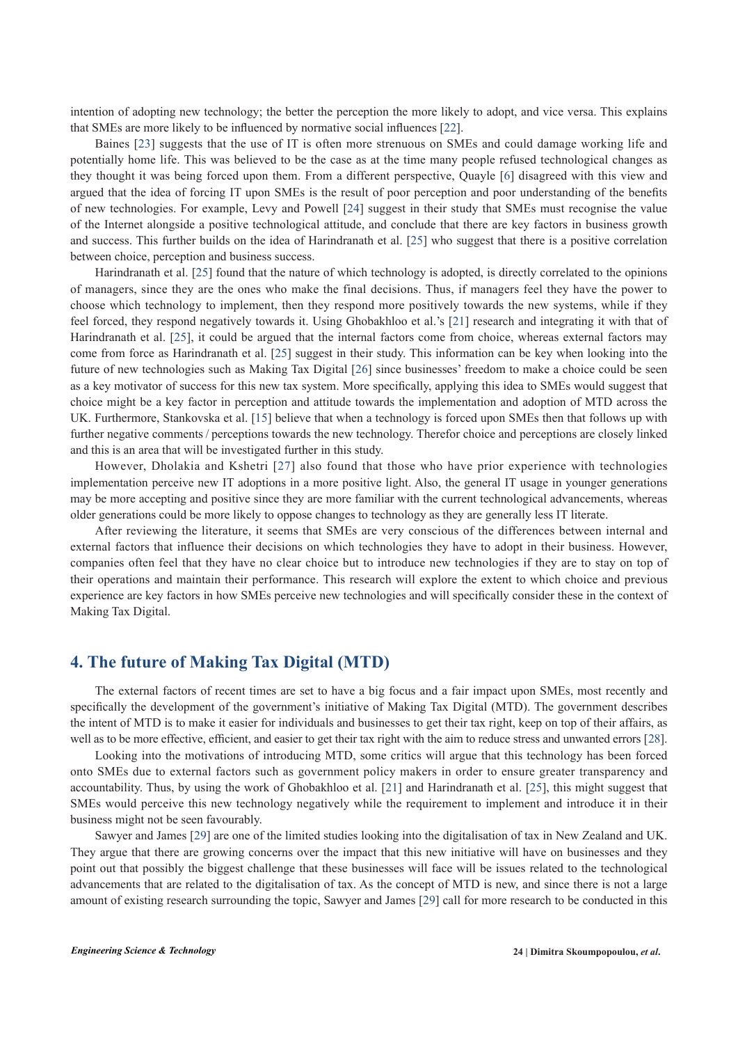intention of adopting new technology; the better the perception the more likely to adopt, and vice versa. This explains that SMEs are more likely to be influenced by normative social influences [22].

Baines [23] suggests that the use of IT is often more strenuous on SMEs and could damage working life and potentially home life. This was believed to be the case as at the time many people refused technological changes as they thought it was being forced upon them. From a different perspective, Quayle [6] disagreed with this view and argued that the idea of forcing IT upon SMEs is the result of poor perception and poor understanding of the benefits of new technologies. For example, Levy and Powell [24] suggest in their study that SMEs must recognise the value of the Internet alongside a positive technological attitude, and conclude that there are key factors in business growth and success. This further builds on the idea of Harindranath et al. [25] who suggest that there is a positive correlation between choice, perception and business success.

Harindranath et al. [25] found that the nature of which technology is adopted, is directly correlated to the opinions of managers, since they are the ones who make the final decisions. Thus, if managers feel they have the power to choose which technology to implement, then they respond more positively towards the new systems, while if they feel forced, they respond negatively towards it. Using Ghobakhloo et al.'s [21] research and integrating it with that of Harindranath et al. [25], it could be argued that the internal factors come from choice, whereas external factors may come from force as Harindranath et al. [25] suggest in their study. This information can be key when looking into the future of new technologies such as Making Tax Digital [26] since businesses' freedom to make a choice could be seen as a key motivator of success for this new tax system. More specifically, applying this idea to SMEs would suggest that choice might be a key factor in perception and attitude towards the implementation and adoption of MTD across the UK. Furthermore, Stankovska et al. [15] believe that when a technology is forced upon SMEs then that follows up with further negative comments / perceptions towards the new technology. Therefor choice and perceptions are closely linked and this is an area that will be investigated further in this study.

However, Dholakia and Kshetri [27] also found that those who have prior experience with technologies implementation perceive new IT adoptions in a more positive light. Also, the general IT usage in younger generations may be more accepting and positive since they are more familiar with the current technological advancements, whereas older generations could be more likely to oppose changes to technology as they are generally less IT literate.

After reviewing the literature, it seems that SMEs are very conscious of the differences between internal and external factors that influence their decisions on which technologies they have to adopt in their business. However, companies often feel that they have no clear choice but to introduce new technologies if they are to stay on top of their operations and maintain their performance. This research will explore the extent to which choice and previous experience are key factors in how SMEs perceive new technologies and will specifically consider these in the context of Making Tax Digital.

## **4. The future of Making Tax Digital (MTD)**

The external factors of recent times are set to have a big focus and a fair impact upon SMEs, most recently and specifically the development of the government's initiative of Making Tax Digital (MTD). The government describes the intent of MTD is to make it easier for individuals and businesses to get their tax right, keep on top of their affairs, as well as to be more effective, efficient, and easier to get their tax right with the aim to reduce stress and unwanted errors [28].

Looking into the motivations of introducing MTD, some critics will argue that this technology has been forced onto SMEs due to external factors such as government policy makers in order to ensure greater transparency and accountability. Thus, by using the work of Ghobakhloo et al. [21] and Harindranath et al. [25], this might suggest that SMEs would perceive this new technology negatively while the requirement to implement and introduce it in their business might not be seen favourably.

Sawyer and James [29] are one of the limited studies looking into the digitalisation of tax in New Zealand and UK. They argue that there are growing concerns over the impact that this new initiative will have on businesses and they point out that possibly the biggest challenge that these businesses will face will be issues related to the technological advancements that are related to the digitalisation of tax. As the concept of MTD is new, and since there is not a large amount of existing research surrounding the topic, Sawyer and James [29] call for more research to be conducted in this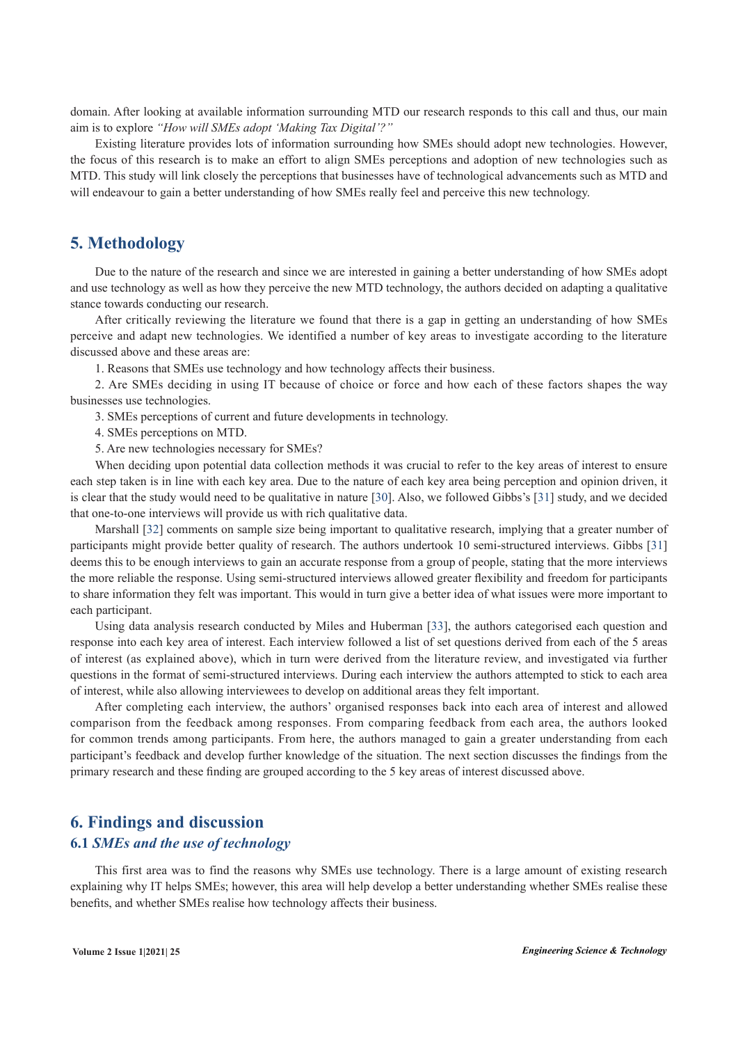domain. After looking at available information surrounding MTD our research responds to this call and thus, our main aim is to explore *"How will SMEs adopt 'Making Tax Digital'?"*

Existing literature provides lots of information surrounding how SMEs should adopt new technologies. However, the focus of this research is to make an effort to align SMEs perceptions and adoption of new technologies such as MTD. This study will link closely the perceptions that businesses have of technological advancements such as MTD and will endeavour to gain a better understanding of how SMEs really feel and perceive this new technology.

# **5. Methodology**

Due to the nature of the research and since we are interested in gaining a better understanding of how SMEs adopt and use technology as well as how they perceive the new MTD technology, the authors decided on adapting a qualitative stance towards conducting our research.

After critically reviewing the literature we found that there is a gap in getting an understanding of how SMEs perceive and adapt new technologies. We identified a number of key areas to investigate according to the literature discussed above and these areas are:

1. Reasons that SMEs use technology and how technology affects their business.

2. Are SMEs deciding in using IT because of choice or force and how each of these factors shapes the way businesses use technologies.

3. SMEs perceptions of current and future developments in technology.

4. SMEs perceptions on MTD.

5. Are new technologies necessary for SMEs?

When deciding upon potential data collection methods it was crucial to refer to the key areas of interest to ensure each step taken is in line with each key area. Due to the nature of each key area being perception and opinion driven, it is clear that the study would need to be qualitative in nature [30]. Also, we followed Gibbs's [31] study, and we decided that one-to-one interviews will provide us with rich qualitative data.

Marshall [32] comments on sample size being important to qualitative research, implying that a greater number of participants might provide better quality of research. The authors undertook 10 semi-structured interviews. Gibbs [31] deems this to be enough interviews to gain an accurate response from a group of people, stating that the more interviews the more reliable the response. Using semi-structured interviews allowed greater flexibility and freedom for participants to share information they felt was important. This would in turn give a better idea of what issues were more important to each participant.

Using data analysis research conducted by Miles and Huberman [33], the authors categorised each question and response into each key area of interest. Each interview followed a list of set questions derived from each of the 5 areas of interest (as explained above), which in turn were derived from the literature review, and investigated via further questions in the format of semi-structured interviews. During each interview the authors attempted to stick to each area of interest, while also allowing interviewees to develop on additional areas they felt important.

After completing each interview, the authors' organised responses back into each area of interest and allowed comparison from the feedback among responses. From comparing feedback from each area, the authors looked for common trends among participants. From here, the authors managed to gain a greater understanding from each participant's feedback and develop further knowledge of the situation. The next section discusses the findings from the primary research and these finding are grouped according to the 5 key areas of interest discussed above.

# **6. Findings and discussion 6.1** *SMEs and the use of technology*

This first area was to find the reasons why SMEs use technology. There is a large amount of existing research explaining why IT helps SMEs; however, this area will help develop a better understanding whether SMEs realise these benefits, and whether SMEs realise how technology affects their business.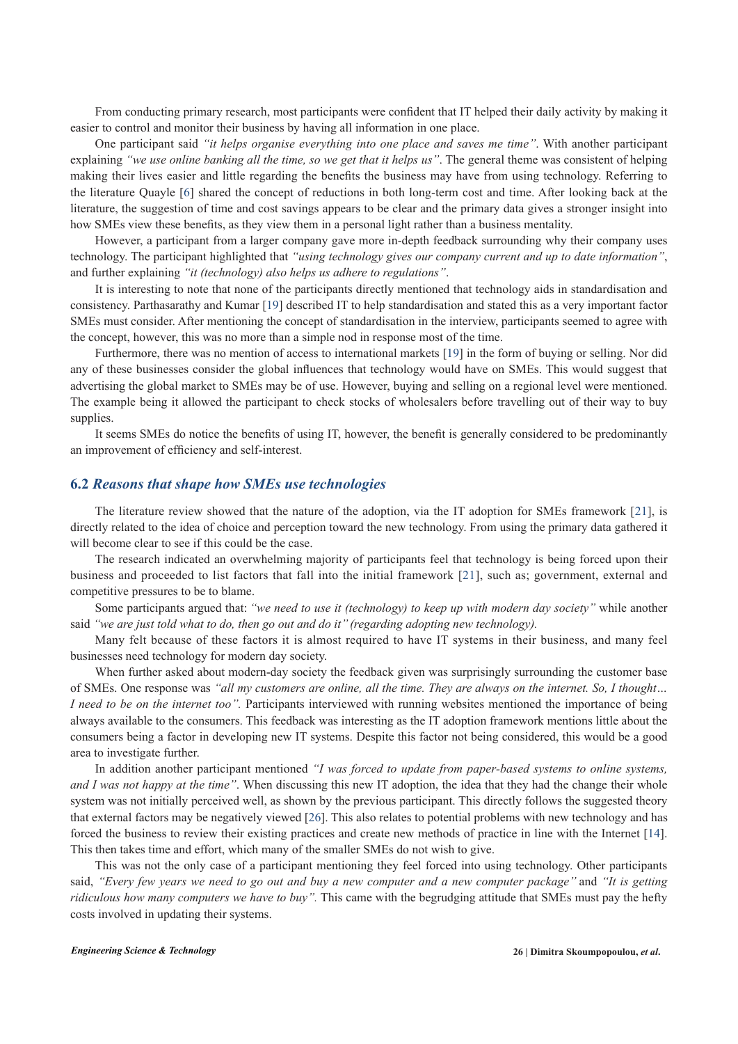From conducting primary research, most participants were confident that IT helped their daily activity by making it easier to control and monitor their business by having all information in one place.

One participant said *"it helps organise everything into one place and saves me time''*. With another participant explaining *"we use online banking all the time, so we get that it helps us"*. The general theme was consistent of helping making their lives easier and little regarding the benefits the business may have from using technology. Referring to the literature Quayle [6] shared the concept of reductions in both long-term cost and time. After looking back at the literature, the suggestion of time and cost savings appears to be clear and the primary data gives a stronger insight into how SMEs view these benefits, as they view them in a personal light rather than a business mentality.

However, a participant from a larger company gave more in-depth feedback surrounding why their company uses technology. The participant highlighted that *"using technology gives our company current and up to date information"*, and further explaining *"it (technology) also helps us adhere to regulations"*.

It is interesting to note that none of the participants directly mentioned that technology aids in standardisation and consistency. Parthasarathy and Kumar [19] described IT to help standardisation and stated this as a very important factor SMEs must consider. After mentioning the concept of standardisation in the interview, participants seemed to agree with the concept, however, this was no more than a simple nod in response most of the time.

Furthermore, there was no mention of access to international markets [19] in the form of buying or selling. Nor did any of these businesses consider the global influences that technology would have on SMEs. This would suggest that advertising the global market to SMEs may be of use. However, buying and selling on a regional level were mentioned. The example being it allowed the participant to check stocks of wholesalers before travelling out of their way to buy supplies.

It seems SMEs do notice the benefits of using IT, however, the benefit is generally considered to be predominantly an improvement of efficiency and self-interest.

### **6.2** *Reasons that shape how SMEs use technologies*

The literature review showed that the nature of the adoption, via the IT adoption for SMEs framework [21], is directly related to the idea of choice and perception toward the new technology. From using the primary data gathered it will become clear to see if this could be the case.

The research indicated an overwhelming majority of participants feel that technology is being forced upon their business and proceeded to list factors that fall into the initial framework [21], such as; government, external and competitive pressures to be to blame.

Some participants argued that: *"we need to use it (technology) to keep up with modern day society"* while another said *''we are just told what to do, then go out and do it'' (regarding adopting new technology).*

Many felt because of these factors it is almost required to have IT systems in their business, and many feel businesses need technology for modern day society.

When further asked about modern-day society the feedback given was surprisingly surrounding the customer base of SMEs. One response was *''all my customers are online, all the time. They are always on the internet. So, I thought… I need to be on the internet too''.* Participants interviewed with running websites mentioned the importance of being always available to the consumers. This feedback was interesting as the IT adoption framework mentions little about the consumers being a factor in developing new IT systems. Despite this factor not being considered, this would be a good area to investigate further.

In addition another participant mentioned *"I was forced to update from paper-based systems to online systems, and I was not happy at the time"*. When discussing this new IT adoption, the idea that they had the change their whole system was not initially perceived well, as shown by the previous participant. This directly follows the suggested theory that external factors may be negatively viewed [26]. This also relates to potential problems with new technology and has forced the business to review their existing practices and create new methods of practice in line with the Internet [14]. This then takes time and effort, which many of the smaller SMEs do not wish to give.

This was not the only case of a participant mentioning they feel forced into using technology. Other participants said, *''Every few years we need to go out and buy a new computer and a new computer package''* and *''It is getting ridiculous how many computers we have to buy''.* This came with the begrudging attitude that SMEs must pay the hefty costs involved in updating their systems.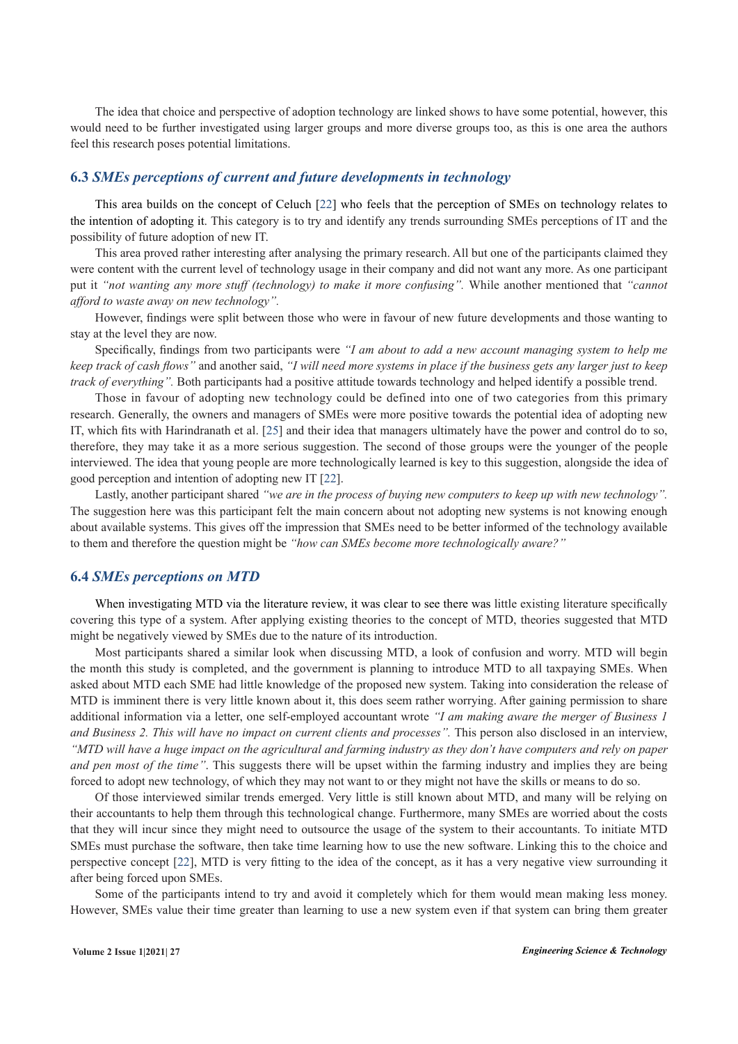The idea that choice and perspective of adoption technology are linked shows to have some potential, however, this would need to be further investigated using larger groups and more diverse groups too, as this is one area the authors feel this research poses potential limitations.

#### **6.3** *SMEs perceptions of current and future developments in technology*

This area builds on the concept of Celuch [22] who feels that the perception of SMEs on technology relates to the intention of adopting it. This category is to try and identify any trends surrounding SMEs perceptions of IT and the possibility of future adoption of new IT.

This area proved rather interesting after analysing the primary research. All but one of the participants claimed they were content with the current level of technology usage in their company and did not want any more. As one participant put it "not wanting any more stuff (technology) to make it more confusing". While another mentioned that "cannot *afford to waste away on new technology".*

However, findings were split between those who were in favour of new future developments and those wanting to stay at the level they are now.

Specifically, findings from two participants were *"I am about to add a new account managing system to help me keep track of cash flows"* and another said, *"I will need more systems in place if the business gets any larger just to keep track of everything".* Both participants had a positive attitude towards technology and helped identify a possible trend.

Those in favour of adopting new technology could be defined into one of two categories from this primary research. Generally, the owners and managers of SMEs were more positive towards the potential idea of adopting new IT, which fits with Harindranath et al. [25] and their idea that managers ultimately have the power and control do to so, therefore, they may take it as a more serious suggestion. The second of those groups were the younger of the people interviewed. The idea that young people are more technologically learned is key to this suggestion, alongside the idea of good perception and intention of adopting new IT [22].

Lastly, another participant shared *"we are in the process of buying new computers to keep up with new technology".* The suggestion here was this participant felt the main concern about not adopting new systems is not knowing enough about available systems. This gives off the impression that SMEs need to be better informed of the technology available to them and therefore the question might be *"how can SMEs become more technologically aware?"*

#### **6.4** *SMEs perceptions on MTD*

When investigating MTD via the literature review, it was clear to see there was little existing literature specifically covering this type of a system. After applying existing theories to the concept of MTD, theories suggested that MTD might be negatively viewed by SMEs due to the nature of its introduction.

Most participants shared a similar look when discussing MTD, a look of confusion and worry. MTD will begin the month this study is completed, and the government is planning to introduce MTD to all taxpaying SMEs. When asked about MTD each SME had little knowledge of the proposed new system. Taking into consideration the release of MTD is imminent there is very little known about it, this does seem rather worrying. After gaining permission to share additional information via a letter, one self-employed accountant wrote *''I am making aware the merger of Business 1 and Business 2. This will have no impact on current clients and processes''.* This person also disclosed in an interview, *''MTD will have a huge impact on the agricultural and farming industry as they don't have computers and rely on paper and pen most of the time''*. This suggests there will be upset within the farming industry and implies they are being forced to adopt new technology, of which they may not want to or they might not have the skills or means to do so.

Of those interviewed similar trends emerged. Very little is still known about MTD, and many will be relying on their accountants to help them through this technological change. Furthermore, many SMEs are worried about the costs that they will incur since they might need to outsource the usage of the system to their accountants. To initiate MTD SMEs must purchase the software, then take time learning how to use the new software. Linking this to the choice and perspective concept [22], MTD is very fitting to the idea of the concept, as it has a very negative view surrounding it after being forced upon SMEs.

Some of the participants intend to try and avoid it completely which for them would mean making less money. However, SMEs value their time greater than learning to use a new system even if that system can bring them greater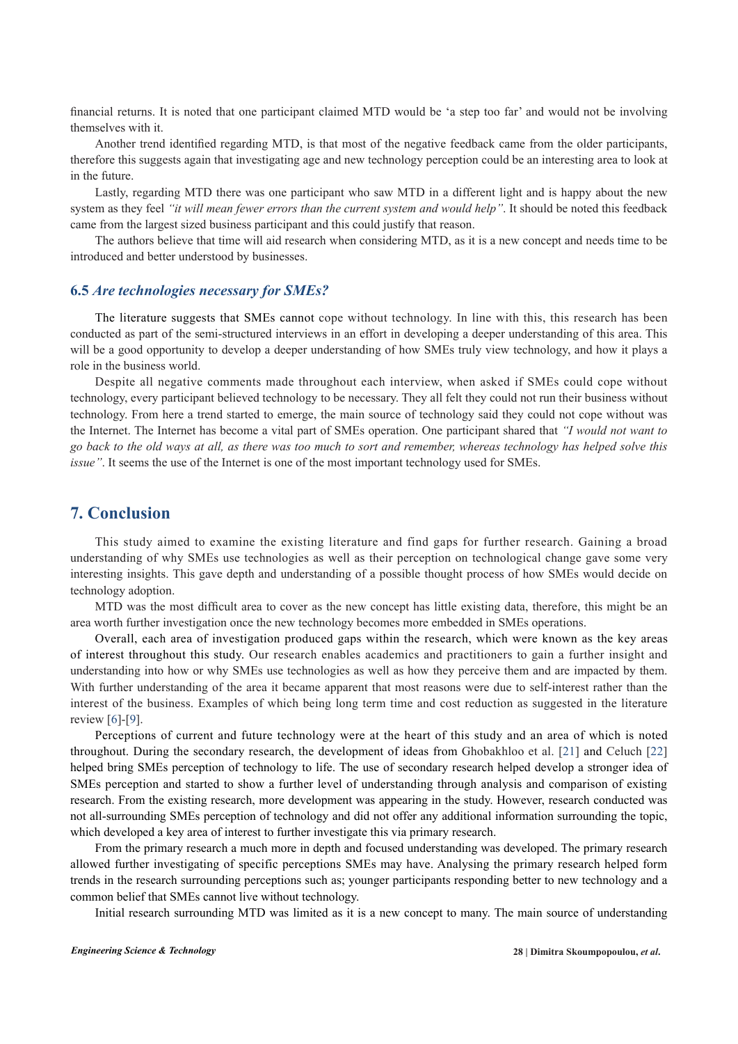financial returns. It is noted that one participant claimed MTD would be 'a step too far' and would not be involving themselves with it.

Another trend identified regarding MTD, is that most of the negative feedback came from the older participants, therefore this suggests again that investigating age and new technology perception could be an interesting area to look at in the future.

Lastly, regarding MTD there was one participant who saw MTD in a different light and is happy about the new system as they feel *''it will mean fewer errors than the current system and would help''*. It should be noted this feedback came from the largest sized business participant and this could justify that reason.

The authors believe that time will aid research when considering MTD, as it is a new concept and needs time to be introduced and better understood by businesses.

#### **6.5** *Are technologies necessary for SMEs?*

The literature suggests that SMEs cannot cope without technology. In line with this, this research has been conducted as part of the semi-structured interviews in an effort in developing a deeper understanding of this area. This will be a good opportunity to develop a deeper understanding of how SMEs truly view technology, and how it plays a role in the business world.

Despite all negative comments made throughout each interview, when asked if SMEs could cope without technology, every participant believed technology to be necessary. They all felt they could not run their business without technology. From here a trend started to emerge, the main source of technology said they could not cope without was the Internet. The Internet has become a vital part of SMEs operation. One participant shared that *''I would not want to go back to the old ways at all, as there was too much to sort and remember, whereas technology has helped solve this issue*". It seems the use of the Internet is one of the most important technology used for SMEs.

# **7. Conclusion**

This study aimed to examine the existing literature and find gaps for further research. Gaining a broad understanding of why SMEs use technologies as well as their perception on technological change gave some very interesting insights. This gave depth and understanding of a possible thought process of how SMEs would decide on technology adoption.

MTD was the most difficult area to cover as the new concept has little existing data, therefore, this might be an area worth further investigation once the new technology becomes more embedded in SMEs operations.

Overall, each area of investigation produced gaps within the research, which were known as the key areas of interest throughout this study. Our research enables academics and practitioners to gain a further insight and understanding into how or why SMEs use technologies as well as how they perceive them and are impacted by them. With further understanding of the area it became apparent that most reasons were due to self-interest rather than the interest of the business. Examples of which being long term time and cost reduction as suggested in the literature review [6]-[9].

Perceptions of current and future technology were at the heart of this study and an area of which is noted throughout. During the secondary research, the development of ideas from Ghobakhloo et al. [21] and Celuch [22] helped bring SMEs perception of technology to life. The use of secondary research helped develop a stronger idea of SMEs perception and started to show a further level of understanding through analysis and comparison of existing research. From the existing research, more development was appearing in the study. However, research conducted was not all-surrounding SMEs perception of technology and did not offer any additional information surrounding the topic, which developed a key area of interest to further investigate this via primary research.

From the primary research a much more in depth and focused understanding was developed. The primary research allowed further investigating of specific perceptions SMEs may have. Analysing the primary research helped form trends in the research surrounding perceptions such as; younger participants responding better to new technology and a common belief that SMEs cannot live without technology.

Initial research surrounding MTD was limited as it is a new concept to many. The main source of understanding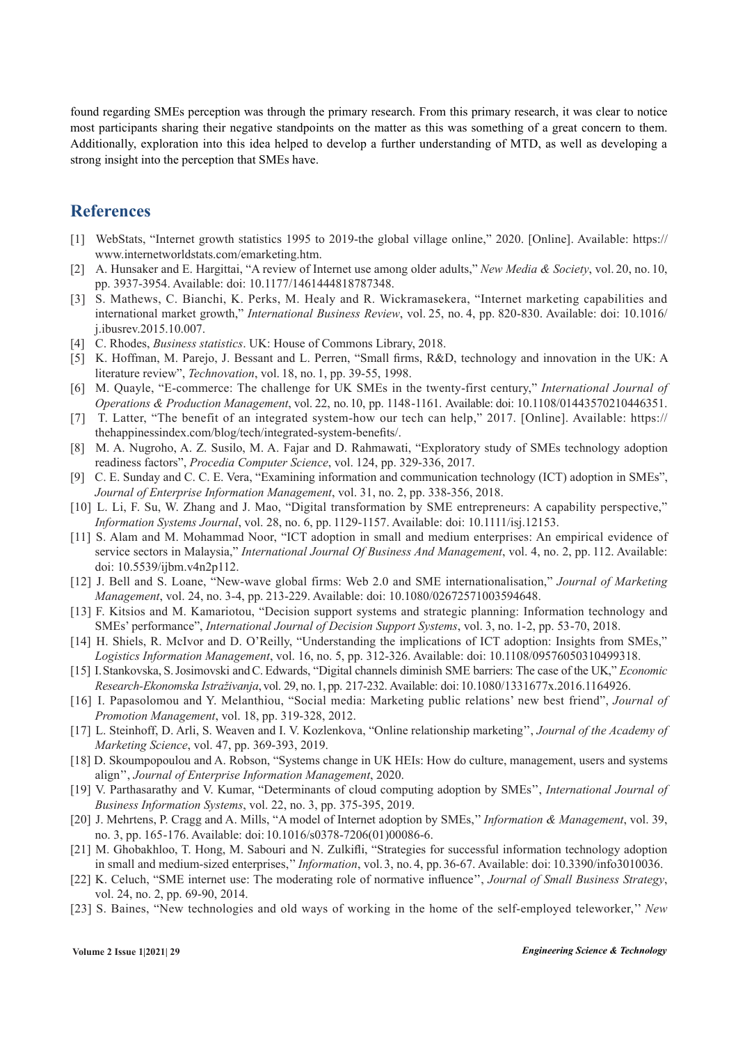found regarding SMEs perception was through the primary research. From this primary research, it was clear to notice most participants sharing their negative standpoints on the matter as this was something of a great concern to them. Additionally, exploration into this idea helped to develop a further understanding of MTD, as well as developing a strong insight into the perception that SMEs have.

# **References**

- [1] WebStats, "Internet growth statistics 1995 to 2019-the global village online," 2020. [Online]. Available: https:// www.internetworldstats.com/emarketing.htm.
- [2] A. Hunsaker and E. Hargittai, "A review of Internet use among older adults," *New Media & Society*, vol. 20, no. 10, pp. 3937-3954. Available: doi: 10.1177/1461444818787348.
- [3] S. Mathews, C. Bianchi, K. Perks, M. Healy and R. Wickramasekera, "Internet marketing capabilities and international market growth," *International Business Review*, vol. 25, no. 4, pp. 820-830. Available: doi: 10.1016/ j.ibusrev.2015.10.007.
- [4] C. Rhodes, *Business statistics*. UK: House of Commons Library, 2018.
- [5] K. Hoffman, M. Parejo, J. Bessant and L. Perren, "Small firms, R&D, technology and innovation in the UK: A literature review", *Technovation*, vol. 18, no. 1, pp. 39-55, 1998.
- [6] M. Quayle, "E-commerce: The challenge for UK SMEs in the twenty-first century," *International Journal of Operations & Production Management*, vol. 22, no. 10, pp. 1148-1161. Available: doi: 10.1108/01443570210446351.
- [7] T. Latter, "The benefit of an integrated system-how our tech can help," 2017. [Online]. Available: [https://](https://thehappinessindex.com/blog/tech/integrated-system-benefits/) [thehappinessindex.com/blog/tech/integrated-system-benefits/](https://thehappinessindex.com/blog/tech/integrated-system-benefits/).
- [8] M. A. Nugroho, A. Z. Susilo, M. A. Fajar and D. Rahmawati, "Exploratory study of SMEs technology adoption readiness factors", *Procedia Computer Science*, vol. 124, pp. 329-336, 2017.
- [9] C. E. Sunday and C. C. E. Vera, "Examining information and communication technology (ICT) adoption in SMEs", *Journal of Enterprise Information Management*, vol. 31, no. 2, pp. 338-356, 2018.
- [10] L. Li, F. Su, W. Zhang and J. Mao, "Digital transformation by SME entrepreneurs: A capability perspective," *Information Systems Journal*, vol. 28, no. 6, pp. 1129-1157. Available: doi: 10.1111/isj.12153.
- [11] S. Alam and M. Mohammad Noor, "ICT adoption in small and medium enterprises: An empirical evidence of service sectors in Malaysia," *International Journal Of Business And Management*, vol. 4, no. 2, pp. 112. Available: doi: 10.5539/ijbm.v4n2p112.
- [12] J. Bell and S. Loane, "New-wave global firms: Web 2.0 and SME internationalisation," *Journal of Marketing Management*, vol. 24, no. 3-4, pp. 213-229. Available: doi: 10.1080/02672571003594648.
- [13] F. Kitsios and M. Kamariotou, "Decision support systems and strategic planning: Information technology and SMEs' performance", *International Journal of Decision Support Systems*, vol. 3, no. 1-2, pp. 53-70, 2018.
- [14] H. Shiels, R. McIvor and D. O'Reilly, "Understanding the implications of ICT adoption: Insights from SMEs," *Logistics Information Management*, vol. 16, no. 5, pp. 312-326. Available: doi: 10.1108/09576050310499318.
- [15] I. Stankovska, S. Josimovski and C. Edwards, "Digital channels diminish SME barriers: The case of the UK," *Economic Research-Ekonomska Istraživanja*, vol. 29, no. 1, pp. 217-232. Available: doi: 10.1080/1331677x.2016.1164926.
- [16] I. Papasolomou and Y. Melanthiou, "Social media: Marketing public relations' new best friend", *Journal of Promotion Management*, vol. 18, pp. 319-328, 2012.
- [17] L. Steinhoff, D. Arli, S. Weaven and I. V. Kozlenkova, "Online relationship marketing'', *Journal of the Academy of Marketing Science*, vol. 47, pp. 369-393, 2019.
- [18] D. Skoumpopoulou and A. Robson, "Systems change in UK HEIs: How do culture, management, users and systems align'', *Journal of Enterprise Information Management*, 2020.
- [19] V. Parthasarathy and V. Kumar, "Determinants of cloud computing adoption by SMEs'', *International Journal of Business Information Systems*, vol. 22, no. 3, pp. 375-395, 2019.
- [20] J. Mehrtens, P. Cragg and A. Mills, "A model of Internet adoption by SMEs,'' *Information & Management*, vol. 39, no. 3, pp. 165-176. Available: doi: 10.1016/s0378-7206(01)00086-6.
- [21] M. Ghobakhloo, T. Hong, M. Sabouri and N. Zulkifli, "Strategies for successful information technology adoption in small and medium-sized enterprises,'' *Information*, vol. 3, no. 4, pp. 36-67. Available: doi: 10.3390/info3010036.
- [22] K. Celuch, "SME internet use: The moderating role of normative influence'', *Journal of Small Business Strategy*, vol. 24, no. 2, pp. 69-90, 2014.
- [23] S. Baines, "New technologies and old ways of working in the home of the self-employed teleworker,'' *New*